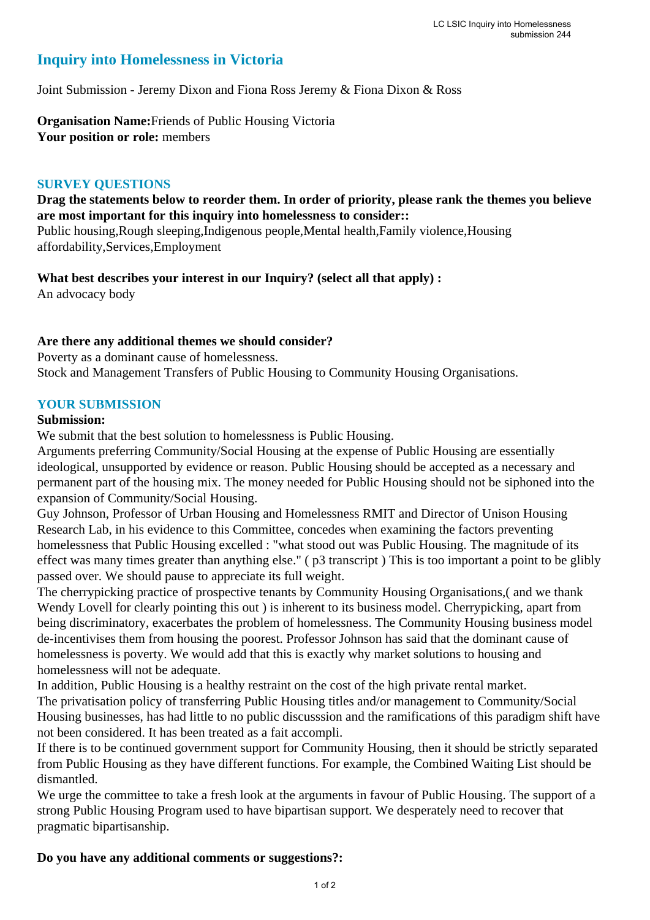# **Inquiry into Homelessness in Victoria**

Joint Submission - Jeremy Dixon and Fiona Ross Jeremy & Fiona Dixon & Ross

**Organisation Name:**Friends of Public Housing Victoria **Your position or role:** members

#### **SURVEY QUESTIONS**

## **Drag the statements below to reorder them. In order of priority, please rank the themes you believe are most important for this inquiry into homelessness to consider::**

Public housing,Rough sleeping,Indigenous people,Mental health,Family violence,Housing affordability,Services,Employment

**What best describes your interest in our Inquiry? (select all that apply) :**  An advocacy body

## **Are there any additional themes we should consider?**

Poverty as a dominant cause of homelessness. Stock and Management Transfers of Public Housing to Community Housing Organisations.

### **YOUR SUBMISSION**

#### **Submission:**

We submit that the best solution to homelessness is Public Housing.

Arguments preferring Community/Social Housing at the expense of Public Housing are essentially ideological, unsupported by evidence or reason. Public Housing should be accepted as a necessary and permanent part of the housing mix. The money needed for Public Housing should not be siphoned into the expansion of Community/Social Housing.

Guy Johnson, Professor of Urban Housing and Homelessness RMIT and Director of Unison Housing Research Lab, in his evidence to this Committee, concedes when examining the factors preventing homelessness that Public Housing excelled : "what stood out was Public Housing. The magnitude of its effect was many times greater than anything else." ( p3 transcript ) This is too important a point to be glibly passed over. We should pause to appreciate its full weight.

The cherrypicking practice of prospective tenants by Community Housing Organisations,( and we thank Wendy Lovell for clearly pointing this out ) is inherent to its business model. Cherrypicking, apart from being discriminatory, exacerbates the problem of homelessness. The Community Housing business model de-incentivises them from housing the poorest. Professor Johnson has said that the dominant cause of homelessness is poverty. We would add that this is exactly why market solutions to housing and homelessness will not be adequate.

In addition, Public Housing is a healthy restraint on the cost of the high private rental market. The privatisation policy of transferring Public Housing titles and/or management to Community/Social Housing businesses, has had little to no public discusssion and the ramifications of this paradigm shift have not been considered. It has been treated as a fait accompli.

If there is to be continued government support for Community Housing, then it should be strictly separated from Public Housing as they have different functions. For example, the Combined Waiting List should be dismantled.

We urge the committee to take a fresh look at the arguments in favour of Public Housing. The support of a strong Public Housing Program used to have bipartisan support. We desperately need to recover that pragmatic bipartisanship.

#### **Do you have any additional comments or suggestions?:**